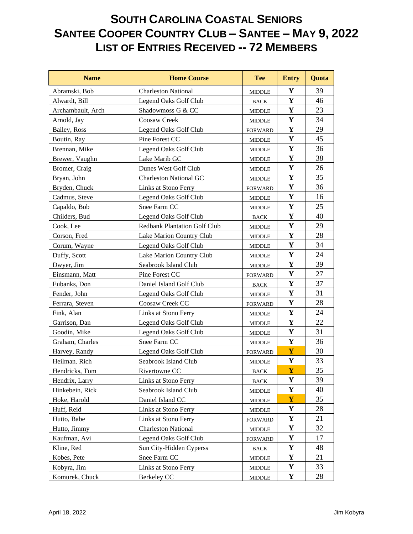## **SOUTH CAROLINA COASTAL SENIORS SANTEE COOPER COUNTRY CLUB – SANTEE – MAY 9, 2022 LIST OF ENTRIES RECEIVED -- 72 MEMBERS**

| <b>Name</b>       | <b>Home Course</b>                  | <b>Tee</b>     | <b>Entry</b> | Quota |
|-------------------|-------------------------------------|----------------|--------------|-------|
| Abramski, Bob     | <b>Charleston National</b>          | <b>MIDDLE</b>  | Y            | 39    |
| Alwardt, Bill     | Legend Oaks Golf Club               | <b>BACK</b>    | Y            | 46    |
| Archambault, Arch | Shadowmoss G & CC                   | MIDDLE         | Y            | 23    |
| Arnold, Jay       | Coosaw Creek                        | <b>MIDDLE</b>  | Y            | 34    |
| Bailey, Ross      | Legend Oaks Golf Club               | <b>FORWARD</b> | $\mathbf Y$  | 29    |
| Boutin, Ray       | Pine Forest CC                      | <b>MIDDLE</b>  | $\mathbf Y$  | 45    |
| Brennan, Mike     | Legend Oaks Golf Club               | <b>MIDDLE</b>  | Y            | 36    |
| Brewer, Vaughn    | Lake Marib GC                       | <b>MIDDLE</b>  | $\mathbf Y$  | 38    |
| Bromer, Craig     | Dunes West Golf Club                | <b>MIDDLE</b>  | $\mathbf Y$  | 26    |
| Bryan, John       | <b>Charleston National GC</b>       | <b>MIDDLE</b>  | $\mathbf Y$  | 35    |
| Bryden, Chuck     | Links at Stono Ferry                | <b>FORWARD</b> | $\mathbf Y$  | 36    |
| Cadmus, Steve     | Legend Oaks Golf Club               | <b>MIDDLE</b>  | $\mathbf Y$  | 16    |
| Capaldo, Bob      | Snee Farm CC                        | MIDDLE         | Y            | 25    |
| Childers, Bud     | Legend Oaks Golf Club               | <b>BACK</b>    | $\mathbf Y$  | 40    |
| Cook, Lee         | <b>Redbank Plantation Golf Club</b> | MIDDLE         | $\mathbf Y$  | 29    |
| Corson, Fred      | Lake Marion Country Club            | <b>MIDDLE</b>  | $\mathbf Y$  | 28    |
| Corum, Wayne      | Legend Oaks Golf Club               | <b>MIDDLE</b>  | Y            | 34    |
| Duffy, Scott      | Lake Marion Country Club            | <b>MIDDLE</b>  | Y            | 24    |
| Dwyer, Jim        | Seabrook Island Club                | <b>MIDDLE</b>  | $\mathbf Y$  | 39    |
| Einsmann, Matt    | Pine Forest CC                      | <b>FORWARD</b> | Y            | 27    |
| Eubanks, Don      | Daniel Island Golf Club             | <b>BACK</b>    | $\mathbf Y$  | 37    |
| Fender, John      | Legend Oaks Golf Club               | MIDDLE         | Y            | 31    |
| Ferrara, Steven   | Coosaw Creek CC                     | <b>FORWARD</b> | $\mathbf Y$  | 28    |
| Fink, Alan        | Links at Stono Ferry                | <b>MIDDLE</b>  | $\mathbf Y$  | 24    |
| Garrison, Dan     | Legend Oaks Golf Club               | <b>MIDDLE</b>  | $\mathbf Y$  | 22    |
| Goodin, Mike      | Legend Oaks Golf Club               | MIDDLE         | Y            | 31    |
| Graham, Charles   | Snee Farm CC                        | <b>MIDDLE</b>  | $\mathbf Y$  | 36    |
| Harvey, Randy     | Legend Oaks Golf Club               | <b>FORWARD</b> | Y            | 30    |
| Heilman. Rich     | Seabrook Island Club                | <b>MIDDLE</b>  | $\mathbf Y$  | 33    |
| Hendricks. Tom    | Rivertowne CC                       | <b>BACK</b>    | Y            | 35    |
| Hendrix, Larry    | Links at Stono Ferry                | <b>BACK</b>    | Y            | 39    |
| Hinkebein, Rick   | Seabrook Island Club                | <b>MIDDLE</b>  | Y            | 40    |
| Hoke, Harold      | Daniel Island CC                    | <b>MIDDLE</b>  | Y            | 35    |
| Huff, Reid        | Links at Stono Ferry                | <b>MIDDLE</b>  | Y            | 28    |
| Hutto, Babe       | Links at Stono Ferry                | <b>FORWARD</b> | Y            | 21    |
| Hutto, Jimmy      | <b>Charleston National</b>          | <b>MIDDLE</b>  | $\mathbf Y$  | 32    |
| Kaufman, Avi      | Legend Oaks Golf Club               | <b>FORWARD</b> | Y            | 17    |
| Kline, Red        | Sun City-Hidden Cyperss             | <b>BACK</b>    | Y            | 48    |
| Kobes, Pete       | Snee Farm CC                        | MIDDLE         | Y            | 21    |
| Kobyra, Jim       | Links at Stono Ferry                | <b>MIDDLE</b>  | Y            | 33    |
| Komurek, Chuck    | Berkeley CC                         | <b>MIDDLE</b>  | Y            | 28    |